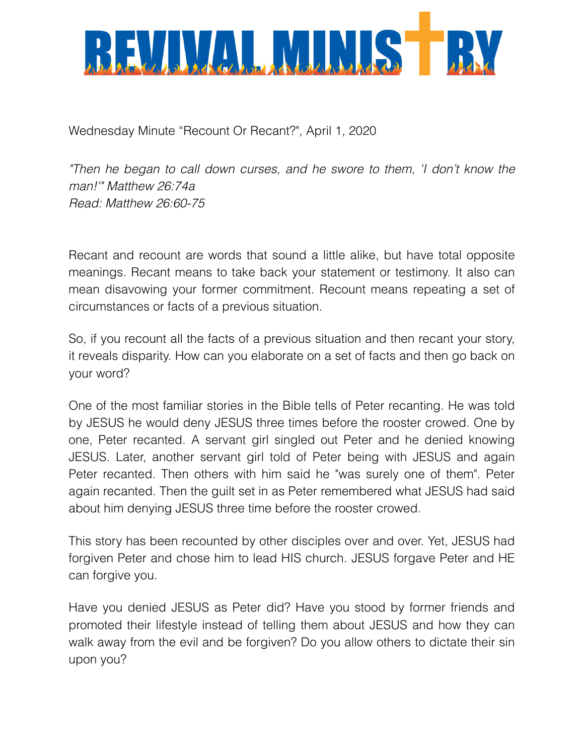

Wednesday Minute "Recount Or Recant?", April 1, 2020

*"Then he began to call down curses, and he swore to them, 'I don't know the man!'" Matthew 26:74a Read: Matthew 26:60-75*

Recant and recount are words that sound a little alike, but have total opposite meanings. Recant means to take back your statement or testimony. It also can mean disavowing your former commitment. Recount means repeating a set of circumstances or facts of a previous situation.

So, if you recount all the facts of a previous situation and then recant your story, it reveals disparity. How can you elaborate on a set of facts and then go back on your word?

One of the most familiar stories in the Bible tells of Peter recanting. He was told by JESUS he would deny JESUS three times before the rooster crowed. One by one, Peter recanted. A servant girl singled out Peter and he denied knowing JESUS. Later, another servant girl told of Peter being with JESUS and again Peter recanted. Then others with him said he "was surely one of them". Peter again recanted. Then the guilt set in as Peter remembered what JESUS had said about him denying JESUS three time before the rooster crowed.

This story has been recounted by other disciples over and over. Yet, JESUS had forgiven Peter and chose him to lead HIS church. JESUS forgave Peter and HE can forgive you.

Have you denied JESUS as Peter did? Have you stood by former friends and promoted their lifestyle instead of telling them about JESUS and how they can walk away from the evil and be forgiven? Do you allow others to dictate their sin upon you?